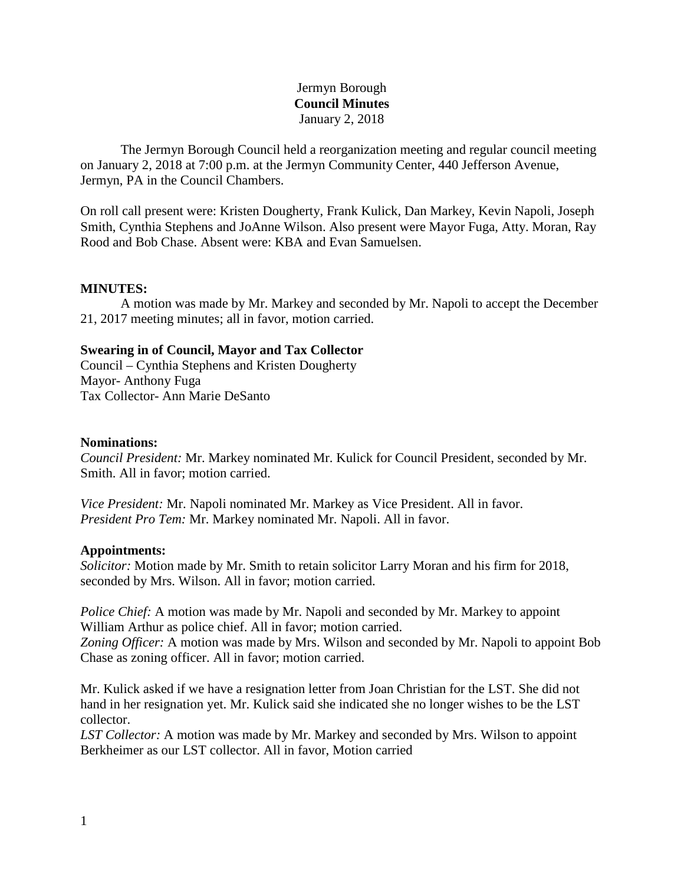# Jermyn Borough **Council Minutes** January 2, 2018

The Jermyn Borough Council held a reorganization meeting and regular council meeting on January 2, 2018 at 7:00 p.m. at the Jermyn Community Center, 440 Jefferson Avenue, Jermyn, PA in the Council Chambers.

On roll call present were: Kristen Dougherty, Frank Kulick, Dan Markey, Kevin Napoli, Joseph Smith, Cynthia Stephens and JoAnne Wilson. Also present were Mayor Fuga, Atty. Moran, Ray Rood and Bob Chase. Absent were: KBA and Evan Samuelsen.

### **MINUTES:**

A motion was made by Mr. Markey and seconded by Mr. Napoli to accept the December 21, 2017 meeting minutes; all in favor, motion carried.

### **Swearing in of Council, Mayor and Tax Collector**

Council – Cynthia Stephens and Kristen Dougherty Mayor- Anthony Fuga Tax Collector- Ann Marie DeSanto

#### **Nominations:**

*Council President:* Mr. Markey nominated Mr. Kulick for Council President, seconded by Mr. Smith. All in favor; motion carried.

*Vice President:* Mr. Napoli nominated Mr. Markey as Vice President. All in favor. *President Pro Tem:* Mr. Markey nominated Mr. Napoli. All in favor.

#### **Appointments:**

*Solicitor:* Motion made by Mr. Smith to retain solicitor Larry Moran and his firm for 2018, seconded by Mrs. Wilson. All in favor; motion carried.

*Police Chief:* A motion was made by Mr. Napoli and seconded by Mr. Markey to appoint William Arthur as police chief. All in favor; motion carried.

*Zoning Officer:* A motion was made by Mrs. Wilson and seconded by Mr. Napoli to appoint Bob Chase as zoning officer. All in favor; motion carried.

Mr. Kulick asked if we have a resignation letter from Joan Christian for the LST. She did not hand in her resignation yet. Mr. Kulick said she indicated she no longer wishes to be the LST collector.

*LST Collector:* A motion was made by Mr. Markey and seconded by Mrs. Wilson to appoint Berkheimer as our LST collector. All in favor, Motion carried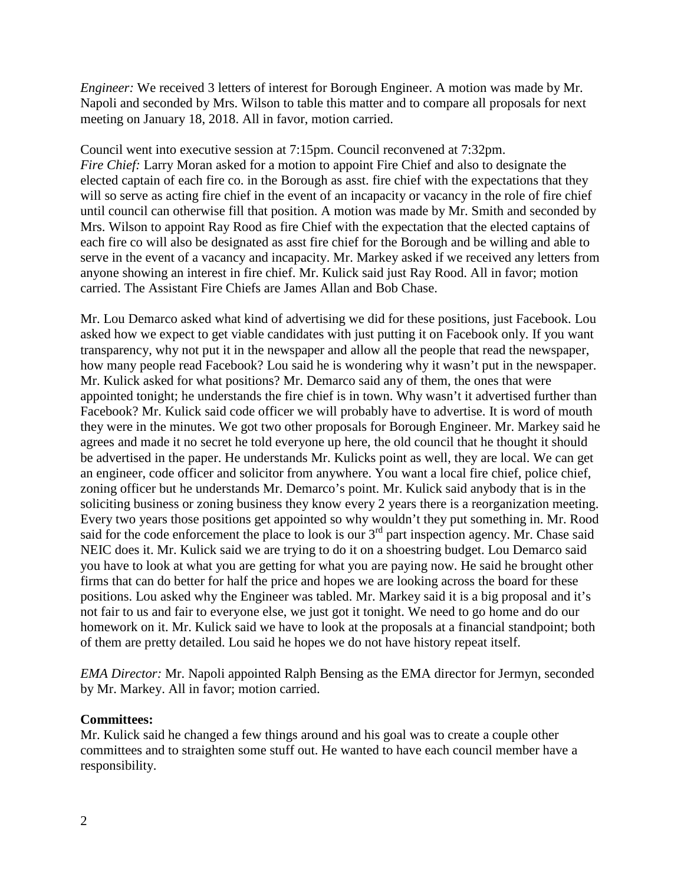*Engineer:* We received 3 letters of interest for Borough Engineer. A motion was made by Mr. Napoli and seconded by Mrs. Wilson to table this matter and to compare all proposals for next meeting on January 18, 2018. All in favor, motion carried.

Council went into executive session at 7:15pm. Council reconvened at 7:32pm. *Fire Chief:* Larry Moran asked for a motion to appoint Fire Chief and also to designate the elected captain of each fire co. in the Borough as asst. fire chief with the expectations that they will so serve as acting fire chief in the event of an incapacity or vacancy in the role of fire chief until council can otherwise fill that position. A motion was made by Mr. Smith and seconded by Mrs. Wilson to appoint Ray Rood as fire Chief with the expectation that the elected captains of each fire co will also be designated as asst fire chief for the Borough and be willing and able to serve in the event of a vacancy and incapacity. Mr. Markey asked if we received any letters from anyone showing an interest in fire chief. Mr. Kulick said just Ray Rood. All in favor; motion carried. The Assistant Fire Chiefs are James Allan and Bob Chase.

Mr. Lou Demarco asked what kind of advertising we did for these positions, just Facebook. Lou asked how we expect to get viable candidates with just putting it on Facebook only. If you want transparency, why not put it in the newspaper and allow all the people that read the newspaper, how many people read Facebook? Lou said he is wondering why it wasn't put in the newspaper. Mr. Kulick asked for what positions? Mr. Demarco said any of them, the ones that were appointed tonight; he understands the fire chief is in town. Why wasn't it advertised further than Facebook? Mr. Kulick said code officer we will probably have to advertise. It is word of mouth they were in the minutes. We got two other proposals for Borough Engineer. Mr. Markey said he agrees and made it no secret he told everyone up here, the old council that he thought it should be advertised in the paper. He understands Mr. Kulicks point as well, they are local. We can get an engineer, code officer and solicitor from anywhere. You want a local fire chief, police chief, zoning officer but he understands Mr. Demarco's point. Mr. Kulick said anybody that is in the soliciting business or zoning business they know every 2 years there is a reorganization meeting. Every two years those positions get appointed so why wouldn't they put something in. Mr. Rood said for the code enforcement the place to look is our  $3<sup>rd</sup>$  part inspection agency. Mr. Chase said NEIC does it. Mr. Kulick said we are trying to do it on a shoestring budget. Lou Demarco said you have to look at what you are getting for what you are paying now. He said he brought other firms that can do better for half the price and hopes we are looking across the board for these positions. Lou asked why the Engineer was tabled. Mr. Markey said it is a big proposal and it's not fair to us and fair to everyone else, we just got it tonight. We need to go home and do our homework on it. Mr. Kulick said we have to look at the proposals at a financial standpoint; both of them are pretty detailed. Lou said he hopes we do not have history repeat itself.

*EMA Director:* Mr. Napoli appointed Ralph Bensing as the EMA director for Jermyn, seconded by Mr. Markey. All in favor; motion carried.

## **Committees:**

Mr. Kulick said he changed a few things around and his goal was to create a couple other committees and to straighten some stuff out. He wanted to have each council member have a responsibility.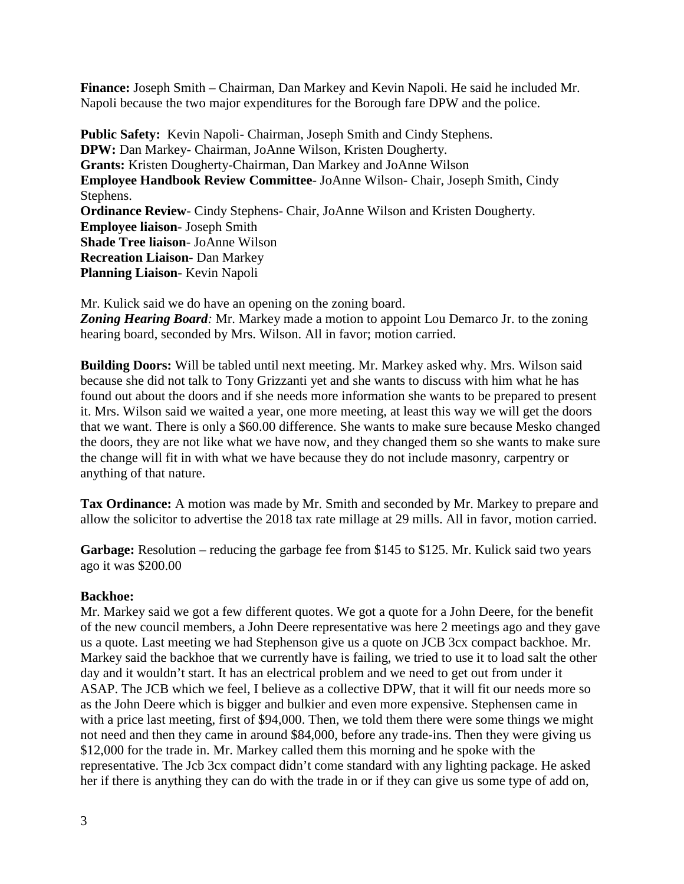**Finance:** Joseph Smith – Chairman, Dan Markey and Kevin Napoli. He said he included Mr. Napoli because the two major expenditures for the Borough fare DPW and the police.

**Public Safety:** Kevin Napoli- Chairman, Joseph Smith and Cindy Stephens. **DPW:** Dan Markey- Chairman, JoAnne Wilson, Kristen Dougherty. **Grants:** Kristen Dougherty-Chairman, Dan Markey and JoAnne Wilson **Employee Handbook Review Committee**- JoAnne Wilson- Chair, Joseph Smith, Cindy Stephens. **Ordinance Review**- Cindy Stephens- Chair, JoAnne Wilson and Kristen Dougherty. **Employee liaison**- Joseph Smith **Shade Tree liaison**- JoAnne Wilson **Recreation Liaison**- Dan Markey **Planning Liaison**- Kevin Napoli

Mr. Kulick said we do have an opening on the zoning board. *Zoning Hearing Board:* Mr. Markey made a motion to appoint Lou Demarco Jr. to the zoning hearing board, seconded by Mrs. Wilson. All in favor; motion carried.

**Building Doors:** Will be tabled until next meeting. Mr. Markey asked why. Mrs. Wilson said because she did not talk to Tony Grizzanti yet and she wants to discuss with him what he has found out about the doors and if she needs more information she wants to be prepared to present it. Mrs. Wilson said we waited a year, one more meeting, at least this way we will get the doors that we want. There is only a \$60.00 difference. She wants to make sure because Mesko changed the doors, they are not like what we have now, and they changed them so she wants to make sure the change will fit in with what we have because they do not include masonry, carpentry or anything of that nature.

**Tax Ordinance:** A motion was made by Mr. Smith and seconded by Mr. Markey to prepare and allow the solicitor to advertise the 2018 tax rate millage at 29 mills. All in favor, motion carried.

Garbage: Resolution – reducing the garbage fee from \$145 to \$125. Mr. Kulick said two years ago it was \$200.00

# **Backhoe:**

Mr. Markey said we got a few different quotes. We got a quote for a John Deere, for the benefit of the new council members, a John Deere representative was here 2 meetings ago and they gave us a quote. Last meeting we had Stephenson give us a quote on JCB 3cx compact backhoe. Mr. Markey said the backhoe that we currently have is failing, we tried to use it to load salt the other day and it wouldn't start. It has an electrical problem and we need to get out from under it ASAP. The JCB which we feel, I believe as a collective DPW, that it will fit our needs more so as the John Deere which is bigger and bulkier and even more expensive. Stephensen came in with a price last meeting, first of \$94,000. Then, we told them there were some things we might not need and then they came in around \$84,000, before any trade-ins. Then they were giving us \$12,000 for the trade in. Mr. Markey called them this morning and he spoke with the representative. The Jcb 3cx compact didn't come standard with any lighting package. He asked her if there is anything they can do with the trade in or if they can give us some type of add on,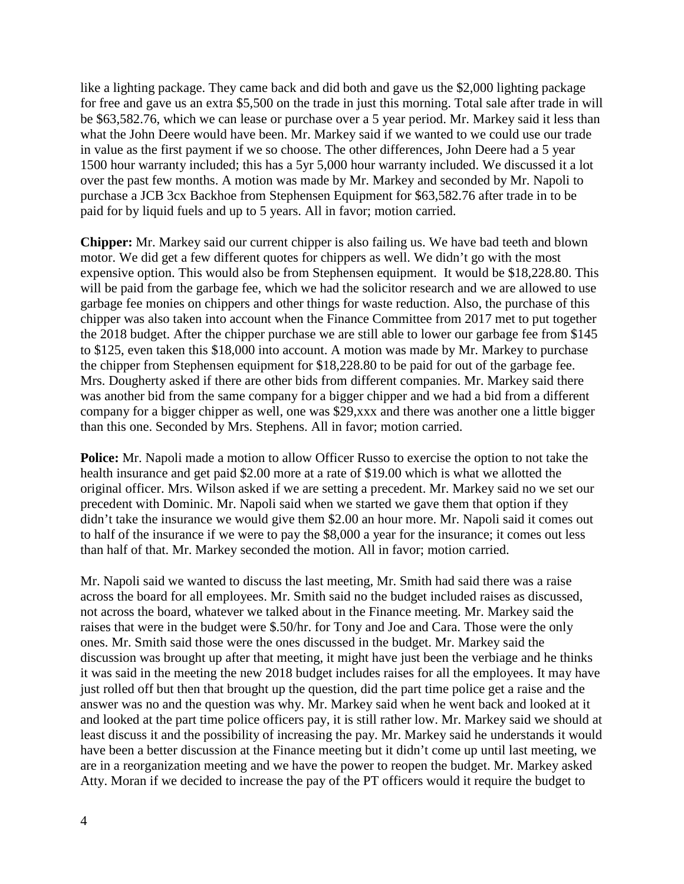like a lighting package. They came back and did both and gave us the \$2,000 lighting package for free and gave us an extra \$5,500 on the trade in just this morning. Total sale after trade in will be \$63,582.76, which we can lease or purchase over a 5 year period. Mr. Markey said it less than what the John Deere would have been. Mr. Markey said if we wanted to we could use our trade in value as the first payment if we so choose. The other differences, John Deere had a 5 year 1500 hour warranty included; this has a 5yr 5,000 hour warranty included. We discussed it a lot over the past few months. A motion was made by Mr. Markey and seconded by Mr. Napoli to purchase a JCB 3cx Backhoe from Stephensen Equipment for \$63,582.76 after trade in to be paid for by liquid fuels and up to 5 years. All in favor; motion carried.

**Chipper:** Mr. Markey said our current chipper is also failing us. We have bad teeth and blown motor. We did get a few different quotes for chippers as well. We didn't go with the most expensive option. This would also be from Stephensen equipment. It would be \$18,228.80. This will be paid from the garbage fee, which we had the solicitor research and we are allowed to use garbage fee monies on chippers and other things for waste reduction. Also, the purchase of this chipper was also taken into account when the Finance Committee from 2017 met to put together the 2018 budget. After the chipper purchase we are still able to lower our garbage fee from \$145 to \$125, even taken this \$18,000 into account. A motion was made by Mr. Markey to purchase the chipper from Stephensen equipment for \$18,228.80 to be paid for out of the garbage fee. Mrs. Dougherty asked if there are other bids from different companies. Mr. Markey said there was another bid from the same company for a bigger chipper and we had a bid from a different company for a bigger chipper as well, one was \$29,xxx and there was another one a little bigger than this one. Seconded by Mrs. Stephens. All in favor; motion carried.

**Police:** Mr. Napoli made a motion to allow Officer Russo to exercise the option to not take the health insurance and get paid \$2.00 more at a rate of \$19.00 which is what we allotted the original officer. Mrs. Wilson asked if we are setting a precedent. Mr. Markey said no we set our precedent with Dominic. Mr. Napoli said when we started we gave them that option if they didn't take the insurance we would give them \$2.00 an hour more. Mr. Napoli said it comes out to half of the insurance if we were to pay the \$8,000 a year for the insurance; it comes out less than half of that. Mr. Markey seconded the motion. All in favor; motion carried.

Mr. Napoli said we wanted to discuss the last meeting, Mr. Smith had said there was a raise across the board for all employees. Mr. Smith said no the budget included raises as discussed, not across the board, whatever we talked about in the Finance meeting. Mr. Markey said the raises that were in the budget were \$.50/hr. for Tony and Joe and Cara. Those were the only ones. Mr. Smith said those were the ones discussed in the budget. Mr. Markey said the discussion was brought up after that meeting, it might have just been the verbiage and he thinks it was said in the meeting the new 2018 budget includes raises for all the employees. It may have just rolled off but then that brought up the question, did the part time police get a raise and the answer was no and the question was why. Mr. Markey said when he went back and looked at it and looked at the part time police officers pay, it is still rather low. Mr. Markey said we should at least discuss it and the possibility of increasing the pay. Mr. Markey said he understands it would have been a better discussion at the Finance meeting but it didn't come up until last meeting, we are in a reorganization meeting and we have the power to reopen the budget. Mr. Markey asked Atty. Moran if we decided to increase the pay of the PT officers would it require the budget to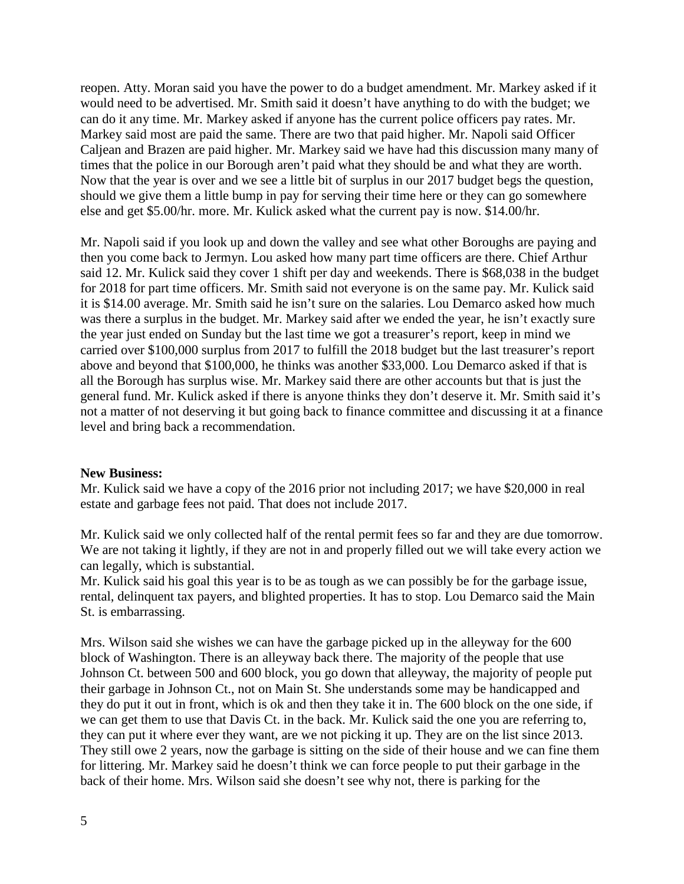reopen. Atty. Moran said you have the power to do a budget amendment. Mr. Markey asked if it would need to be advertised. Mr. Smith said it doesn't have anything to do with the budget; we can do it any time. Mr. Markey asked if anyone has the current police officers pay rates. Mr. Markey said most are paid the same. There are two that paid higher. Mr. Napoli said Officer Caljean and Brazen are paid higher. Mr. Markey said we have had this discussion many many of times that the police in our Borough aren't paid what they should be and what they are worth. Now that the year is over and we see a little bit of surplus in our 2017 budget begs the question, should we give them a little bump in pay for serving their time here or they can go somewhere else and get \$5.00/hr. more. Mr. Kulick asked what the current pay is now. \$14.00/hr.

Mr. Napoli said if you look up and down the valley and see what other Boroughs are paying and then you come back to Jermyn. Lou asked how many part time officers are there. Chief Arthur said 12. Mr. Kulick said they cover 1 shift per day and weekends. There is \$68,038 in the budget for 2018 for part time officers. Mr. Smith said not everyone is on the same pay. Mr. Kulick said it is \$14.00 average. Mr. Smith said he isn't sure on the salaries. Lou Demarco asked how much was there a surplus in the budget. Mr. Markey said after we ended the year, he isn't exactly sure the year just ended on Sunday but the last time we got a treasurer's report, keep in mind we carried over \$100,000 surplus from 2017 to fulfill the 2018 budget but the last treasurer's report above and beyond that \$100,000, he thinks was another \$33,000. Lou Demarco asked if that is all the Borough has surplus wise. Mr. Markey said there are other accounts but that is just the general fund. Mr. Kulick asked if there is anyone thinks they don't deserve it. Mr. Smith said it's not a matter of not deserving it but going back to finance committee and discussing it at a finance level and bring back a recommendation.

#### **New Business:**

Mr. Kulick said we have a copy of the 2016 prior not including 2017; we have \$20,000 in real estate and garbage fees not paid. That does not include 2017.

Mr. Kulick said we only collected half of the rental permit fees so far and they are due tomorrow. We are not taking it lightly, if they are not in and properly filled out we will take every action we can legally, which is substantial.

Mr. Kulick said his goal this year is to be as tough as we can possibly be for the garbage issue, rental, delinquent tax payers, and blighted properties. It has to stop. Lou Demarco said the Main St. is embarrassing.

Mrs. Wilson said she wishes we can have the garbage picked up in the alleyway for the 600 block of Washington. There is an alleyway back there. The majority of the people that use Johnson Ct. between 500 and 600 block, you go down that alleyway, the majority of people put their garbage in Johnson Ct., not on Main St. She understands some may be handicapped and they do put it out in front, which is ok and then they take it in. The 600 block on the one side, if we can get them to use that Davis Ct. in the back. Mr. Kulick said the one you are referring to, they can put it where ever they want, are we not picking it up. They are on the list since 2013. They still owe 2 years, now the garbage is sitting on the side of their house and we can fine them for littering. Mr. Markey said he doesn't think we can force people to put their garbage in the back of their home. Mrs. Wilson said she doesn't see why not, there is parking for the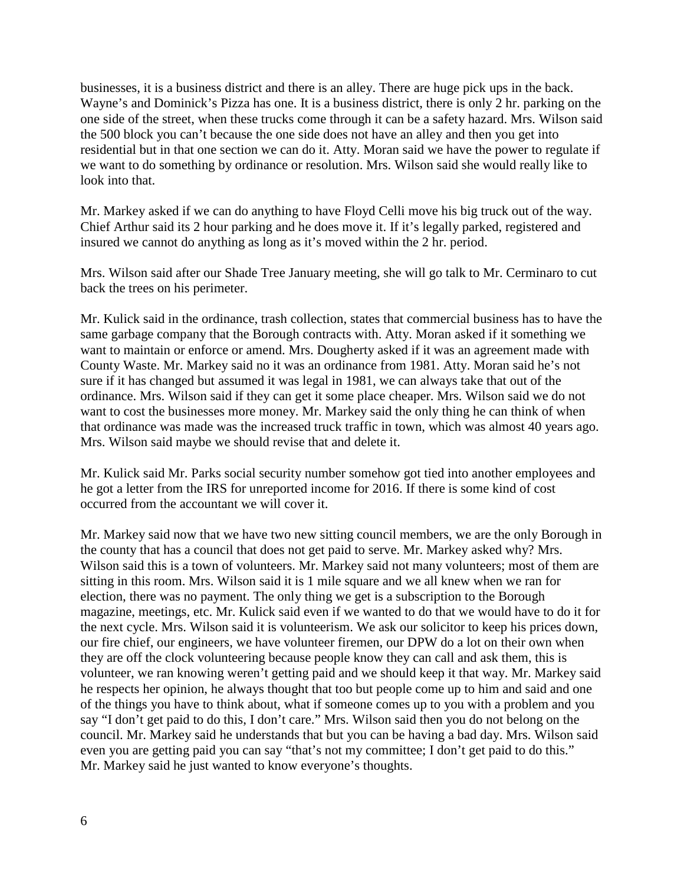businesses, it is a business district and there is an alley. There are huge pick ups in the back. Wayne's and Dominick's Pizza has one. It is a business district, there is only 2 hr. parking on the one side of the street, when these trucks come through it can be a safety hazard. Mrs. Wilson said the 500 block you can't because the one side does not have an alley and then you get into residential but in that one section we can do it. Atty. Moran said we have the power to regulate if we want to do something by ordinance or resolution. Mrs. Wilson said she would really like to look into that.

Mr. Markey asked if we can do anything to have Floyd Celli move his big truck out of the way. Chief Arthur said its 2 hour parking and he does move it. If it's legally parked, registered and insured we cannot do anything as long as it's moved within the 2 hr. period.

Mrs. Wilson said after our Shade Tree January meeting, she will go talk to Mr. Cerminaro to cut back the trees on his perimeter.

Mr. Kulick said in the ordinance, trash collection, states that commercial business has to have the same garbage company that the Borough contracts with. Atty. Moran asked if it something we want to maintain or enforce or amend. Mrs. Dougherty asked if it was an agreement made with County Waste. Mr. Markey said no it was an ordinance from 1981. Atty. Moran said he's not sure if it has changed but assumed it was legal in 1981, we can always take that out of the ordinance. Mrs. Wilson said if they can get it some place cheaper. Mrs. Wilson said we do not want to cost the businesses more money. Mr. Markey said the only thing he can think of when that ordinance was made was the increased truck traffic in town, which was almost 40 years ago. Mrs. Wilson said maybe we should revise that and delete it.

Mr. Kulick said Mr. Parks social security number somehow got tied into another employees and he got a letter from the IRS for unreported income for 2016. If there is some kind of cost occurred from the accountant we will cover it.

Mr. Markey said now that we have two new sitting council members, we are the only Borough in the county that has a council that does not get paid to serve. Mr. Markey asked why? Mrs. Wilson said this is a town of volunteers. Mr. Markey said not many volunteers; most of them are sitting in this room. Mrs. Wilson said it is 1 mile square and we all knew when we ran for election, there was no payment. The only thing we get is a subscription to the Borough magazine, meetings, etc. Mr. Kulick said even if we wanted to do that we would have to do it for the next cycle. Mrs. Wilson said it is volunteerism. We ask our solicitor to keep his prices down, our fire chief, our engineers, we have volunteer firemen, our DPW do a lot on their own when they are off the clock volunteering because people know they can call and ask them, this is volunteer, we ran knowing weren't getting paid and we should keep it that way. Mr. Markey said he respects her opinion, he always thought that too but people come up to him and said and one of the things you have to think about, what if someone comes up to you with a problem and you say "I don't get paid to do this, I don't care." Mrs. Wilson said then you do not belong on the council. Mr. Markey said he understands that but you can be having a bad day. Mrs. Wilson said even you are getting paid you can say "that's not my committee; I don't get paid to do this." Mr. Markey said he just wanted to know everyone's thoughts.